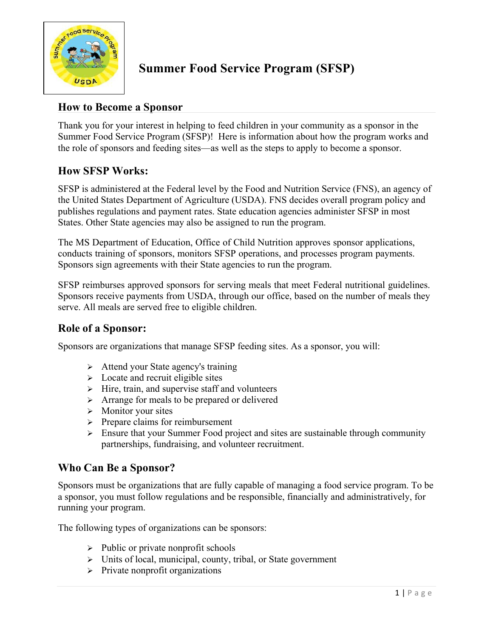

# **Summer Food Service Program (SFSP)**

### **How to Become a Sponsor**

Thank you for your interest in helping to feed children in your community as a sponsor in the Summer Food Service Program (SFSP)! Here is information about how the program works and the role of sponsors and feeding sites—as well as the steps to apply to become a sponsor.

## **How SFSP Works:**

SFSP is administered at the Federal level by the Food and Nutrition Service (FNS), an agency of the United States Department of Agriculture (USDA). FNS decides overall program policy and publishes regulations and payment rates. State education agencies administer SFSP in most States. Other State agencies may also be assigned to run the program.

The MS Department of Education, Office of Child Nutrition approves sponsor applications, conducts training of sponsors, monitors SFSP operations, and processes program payments. Sponsors sign agreements with their State agencies to run the program.

SFSP reimburses approved sponsors for serving meals that meet Federal nutritional guidelines. Sponsors receive payments from USDA, through our office, based on the number of meals they serve. All meals are served free to eligible children.

## **Role of a Sponsor:**

Sponsors are organizations that manage SFSP feeding sites. As a sponsor, you will:

- $\triangleright$  Attend your State agency's training
- $\triangleright$  Locate and recruit eligible sites
- $\triangleright$  Hire, train, and supervise staff and volunteers
- $\triangleright$  Arrange for meals to be prepared or delivered
- $\triangleright$  Monitor your sites
- $\triangleright$  Prepare claims for reimbursement
- $\triangleright$  Ensure that your Summer Food project and sites are sustainable through community partnerships, fundraising, and volunteer recruitment.

#### **Who Can Be a Sponsor?**

Sponsors must be organizations that are fully capable of managing a food service program. To be a sponsor, you must follow regulations and be responsible, financially and administratively, for running your program.

The following types of organizations can be sponsors:

- $\triangleright$  Public or private nonprofit schools
- $\triangleright$  Units of local, municipal, county, tribal, or State government
- $\triangleright$  Private nonprofit organizations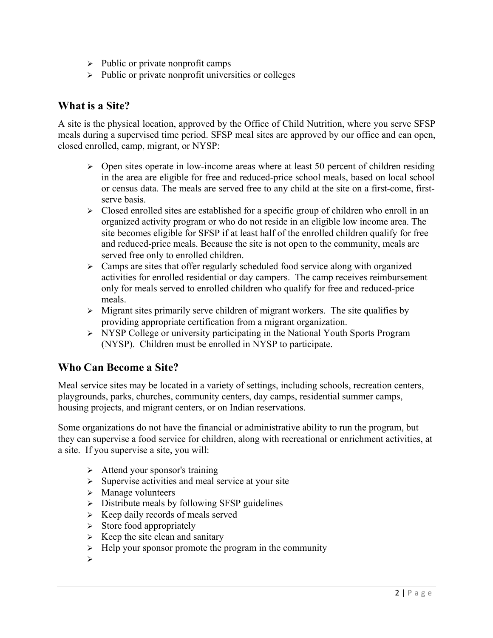- $\triangleright$  Public or private nonprofit camps
- $\triangleright$  Public or private nonprofit universities or colleges

#### **What is a Site?**

A site is the physical location, approved by the Office of Child Nutrition, where you serve SFSP meals during a supervised time period. SFSP meal sites are approved by our office and can open, closed enrolled, camp, migrant, or NYSP:

- $\triangleright$  Open sites operate in low-income areas where at least 50 percent of children residing in the area are eligible for free and reduced-price school meals, based on local school or census data. The meals are served free to any child at the site on a first-come, firstserve basis.
- $\triangleright$  Closed enrolled sites are established for a specific group of children who enroll in an organized activity program or who do not reside in an eligible low income area. The site becomes eligible for SFSP if at least half of the enrolled children qualify for free and reduced-price meals. Because the site is not open to the community, meals are served free only to enrolled children.
- $\triangleright$  Camps are sites that offer regularly scheduled food service along with organized activities for enrolled residential or day campers. The camp receives reimbursement only for meals served to enrolled children who qualify for free and reduced-price meals.
- $\triangleright$  Migrant sites primarily serve children of migrant workers. The site qualifies by providing appropriate certification from a migrant organization.
- $\triangleright$  NYSP College or university participating in the National Youth Sports Program (NYSP). Children must be enrolled in NYSP to participate.

## **Who Can Become a Site?**

Meal service sites may be located in a variety of settings, including schools, recreation centers, playgrounds, parks, churches, community centers, day camps, residential summer camps, housing projects, and migrant centers, or on Indian reservations.

Some organizations do not have the financial or administrative ability to run the program, but they can supervise a food service for children, along with recreational or enrichment activities, at a site. If you supervise a site, you will:

- $\triangleright$  Attend your sponsor's training
- $\triangleright$  Supervise activities and meal service at your site
- $\triangleright$  Manage volunteers
- $\triangleright$  Distribute meals by following SFSP guidelines
- $\triangleright$  Keep daily records of meals served
- $\triangleright$  Store food appropriately
- $\triangleright$  Keep the site clean and sanitary
- $\triangleright$  Help your sponsor promote the program in the community
- Ø